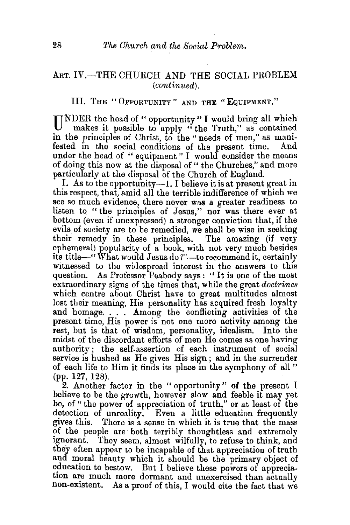## ART. IV.-THE CHURCH AND THE SOCIAL PROBLEM *(continued).*

## III. THE "OPPORTUNITY" AND THE "EQUIPMENT."

UNDER the head of "opportunity" I would bring all which makes it possible to apply " the Truth," as contained in the principles of Christ, to the "needs of men," as manifested in the social conditions of the present time. And fested in the social conditions of the present time. under the head of " equipment " I would consider the means of doing this now at the disposal of " the Churches," and more particularly at the disposal of the Church of England.

I. As to the opportunity- $1$ . I believe it is at present great in this respect, that, amid all the terrible indifference of which we see so much evidence, there never was a greater readiness to listen to "the principles of Jesus," nor was there ever at bottom (even if unexpressed) a stronger conviction that, if the evils. of society are to be remedied, we shall be wise in seeking their remedy in these principles. The amazing (if very ephemeral) popularity of a book, with not very much besides its title-" What would Jesus do?"-to recommend it, certainly witnessed to the widespread interest in the answers to this question. As Professor Peabody says : " It is one of the most extraordinary signs of the times that, while the great *doctrines*  which centre about Christ have to great multitudes almost lost their meaning, His personality has acquired fresh loyalty and homage. . . . Among the conflicting activities of the present time, His power is not one more activity among the rest, but is that of wisdom, personality, idealism. Into the midst of the discordant efforts of men He comes as one having authority; the self-assertion of each instrument of social service is hushed as He gives His sign; and in the surrender of each life to Him it finds its place in the symphony of all " (pp. 127, 128).

2. Another factor in the " opportunity" of the present I believe to be the growth, however slow and feeble it may yet be, of " the power of appreciation of truth," or at least of the detection of unreality. Even a little education frequently gives this. There is a sense in which it is true that the mass of the people are both terribly thoughtless and extremely ignorant. They seem, almost wilfully, to refuse to think, and They seem, almost wilfully, to refuse to think, and they often appear to be incapable of that appreciation of truth and moral beauty which it should be the primary object of education to bestow. But I believe these powers of appreciation are much more dormant and unexercised than actually non-existent. As a proof of this, I would cite the fact that we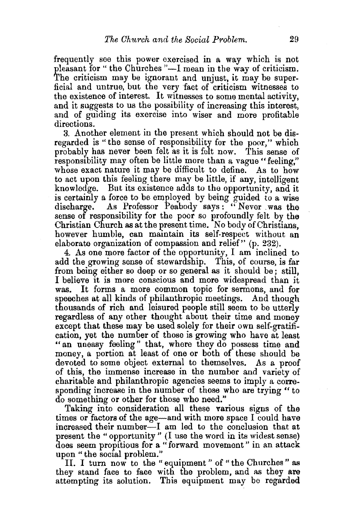frequently see this power exercised in a way which is not pleasant for " the Churches "-I mean in the way of criticism. The criticism may be ignorant and unjust, it may be superficial and untrue, but the very fact of criticism witnesses to the existence of interest. It witnesses to some mental activity, and it suggests to us the possibility of increasing this interest, and of guiding its exercise into wiser and more profitable directions.

3. Another element in the present which should not be disregarded is "the sense of responsibility for the poor," which probably has never been felt as it is felt now. This sense of responsibility may often be little more than a vague "feeling," whose exact nature it may be difficult to define. As to how to act upon this feeling there may be little, if any, intelligent knowledge. But its existence adds to the opportunity, and it is certainly a force to be employed by being guided to a wise discharge. As Professor Peabody says: "Never .was the sense of responsibility for the poor so profoundly felt by the Christian Church as at the present time. No body of Christians, however humble, can maintain its self-respect without an elaborate organization of compassion and relief" (p. 232).

4. As one more factor of the opportunity, I am inclined to add the growing sense of stewardship. This, of course, is far from being either so deep or so general as it should be; still, I believe it is more conscious and more widespread than it was. It forms a more common topic for sermons, and for speeches at all kinds of philanthropic meetings. And though thousands of rich and leisured people still seem to be utterly regardless of any other thought about their time and money except that these may be used solely for their own self-gratification, yet the number of those is growing who have at least "an uneasy feeling" that, where they do possess time and money, a portion at least of one or both of these should be devoted to some object external to themselves. As a proof of this, the immense increase in the number and variety of charitable and philanthropic agencies seems to imply a corresponding increase in the number of those who are trying " to do something or other for those who need."

Taking into consideration all these various signs of the times or factors of the age-and with more space I could have increased their number-I am led to the conclusion that at present the "opportunity " (I use the word in its widest sense) does seem propitious for a "forward movement" in an attack upon "the social problem."

II. I turn now to the "equipment " of "the Churches" as they stand face to face with the problem, and as they are attempting its solution. This equipment may be regarded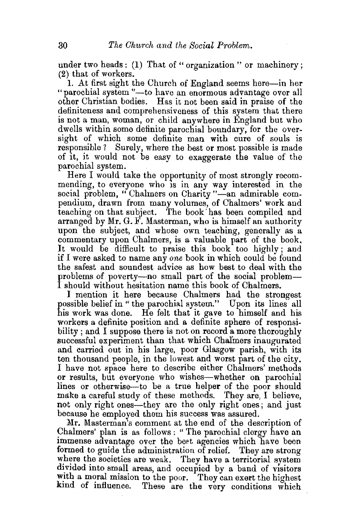under two heads: (1) That of "organization" or machinery; (2) that of workers.

1. At first sight the Church of England seems here-in her "parochial system "-to have an enormous advantage over all other Christian bodies. Has it not been said in praise of the definiteness and comprehensiveness of this system that there is not a man, woman, or child anywhere in England but who dwells within some definite parochial boundary, for the oversight of which some definite man with cure of souls is responsible? Surely, where the best or most possible is made of it, it would not be easy to exaggerate the value of the parochial system.

Here I would take the opportunity of most strongly recommending, to everyone who is in any way interested in the social problem, "Chalmers on Charity "-an admirable compendium, drawn from many volumes, of Chalmers' work and teaching on that subject. The book· has been compiled and arranged by  $Mr. G. F.$  Masterman, who is himself an authority upon the subject, and whose own teaching, generally as a commentary upon Chalmers, is a valuable part of the book, It would be difficult to praise this book too highly ; and if I were asked to name any *one* book in which could be found the safest and soundest advice as how best to deal with the problems of poverty—no small part of the social problems.<br>I should without hesitation name this book of Chalmers. problems of poverty-no small part of the social problem-

I mention it here because Chalmers had the strongest possible belief in" the parochial system." Upon its lines all his work was done. He felt that it gave to himself and his workers a definite position and a definite sphere of responsibility; and I suppose there is not on record a more thoroughly successful experiment than that which Chafmers inaugurated and carried out in his large, poor Glasgow parish, with its ten thousand people, in the lowest and worst part of the city. I have not space here to describe either Chalmers' methods or results, but everyone who wishes-whether on parochial lines or otherwise-to be a true helper of the poor should make a careful study of these methods. They are, I believe, not only right ones—they are the only right ones; and just because he employed them his success was assured.

Mr. Masterman's comment at the end of the description of Chalmers' plan is as follows : " The parochial clergy have an immense advantage over the beet agencies which have been formed to guide the administration of relief. They are strong where the societies are weak. They have a territorial system divided into small areas, and occupied by a band of visitors with a moral mission to the poor. They can exert the highest<br>kind of influence. These are the very conditions which These are the very conditions which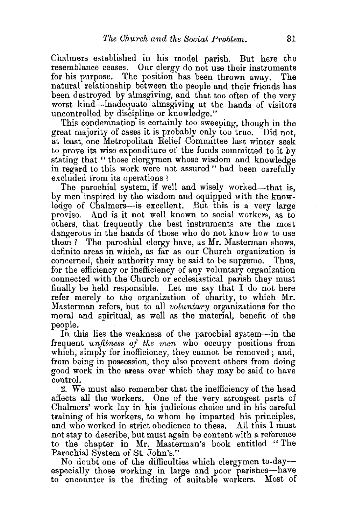Chalmers established in his model parish. But here the resemblance ceases. Our clergy do not use their instruments for his purpose. The position has been thrown away. The natural relationship between the people and their friends has been destroyed by almsgiving, and that too often of the very worst kind-inadequate almsgiving at the hands of visitors uncontrolled by discipline or knowledge."

This condemnation is certainly too sweeping, though in the great majority of cases it is probably only too true. Did not, at least, one Metropolitan Relief Committee last winter seek to prove its wise expenditure of the funds committed to it by stating that " those clergymen whose wisdom and knowledge in regard to this work were not assured" had been carefully excluded from its operations ?

The parochial system, if well and wisely worked-that is, by men inspired by the wisdom and equipped with the knowledge of Chalmers-is excellent. But this is a very large proviso. And is it not well known to social workers, as to others, that frequently the best instruments are the most dangerous in the hands of those who do not know how to use them ? The parochial clergy have, as Mr. Masterman shows, definite areas in which, as far as our Church organization is concerned, their authority may be said to be supreme. Thus, for the efficiency or inefficiency of any voluntary organization connected with the Church or ecclesiastical parish they must finally be held responsible. Let me say that I do not here refer merely to the organization of charity, to which Mr.<br>Masterman refers, but to all *voluntary* organizations for the moral and spiritual, as well as the material, benefit of the people. .

In this lies the weakness of the parochial system-in the frequent *unfitness of the men* who occupy positions from which, simply for inefficiency, they cannot be removed; and, from being in possession, they also prevent others from doing good work in the areas over which they may be said to have control.

2. We must also remember that the inefficiency of the head aftects all the workers. One of the very strongest parts of Chalmers' work lay in his judicious choice and in his careful training of his workers, to whom he imparted his principles, and who worked in strict obedience to these. All this I must not stay to describe, but must again be content with a reference to the chapter in Mr. Masterman's book entitled "The Parochial System of St. John's."

No doubt one of the difficulties which clergymen to-dayespecially those working in large and poor parishes—have to encounter is the finding of suitable workers. Most of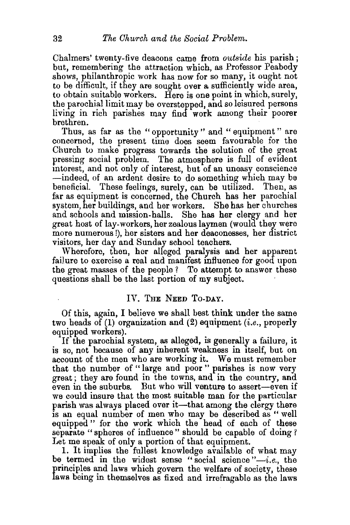Chalmers' twenty-five deacons came from *outside* his parish; but, remembering the attraction which, as Professor Peabody shows, philanthropic work has now for so many, it ought not to be difficult, if they are sought over a sufficiently wide area, to obtain suitable workers. Here is one point in which, surely, the parochial limit may be overstepped, and so leisured persons living in rich parishes may find work among their poorer brethren.

Thus, as far as the "opportunity " and " equipment" are concerned, the present time does seem favourable for the Church to make progress towards the solution of the great pressing social problem. The atmosphere is full of evident interest, and not only of interest, but of an uneasy conscience -indeed, of an ardent desire to do something which may be beneficial. These feelings, surely, can be utilized. Then, as far as equipment is concerned, the Church has her parochial system, her buildings, and her workers. She has her churches and schools and mission-halls. She has her clergy and her great host of lay-workers, her zealous laymen (would they were more numerous !), her sisters and her deaconesses, her district visitors, her day and Sunday school teachers.

Wherefore, then, her alleged paralysis and her apparent failure to exercise a real and manifest influence for good upon the great masses of the people ? To attempt to answer these questions shall be the last portion of my subject.

## IV. THE NEED To-DAY.

Of this, again, I believe we shall best think under the same two heads of  $(1)$  organization and  $(2)$  equipment  $(i.e.,$  properly equipped workers).

If the parochial system, as alleged, is generally a failure, it is so, not because of any inherent weakness in Itself, but on account of the men who are working it. We must remember that the number of "large and poor " parishes is now very great; they are found in the towns, and in the country, and even in the suburbs. But who will venture to assert-even if we could insure that the most suitable man for the particular parish was always placed over it—that among the clergy there is an equal number of men who may be described as " well equipped " for the work which the head of each of these separate "spheres of influence" should be capable of doing? Let me speak of only a portion of that equipment.

1. It implies the fullest knowledge available of what may be termed in the widest sense "social science" *-i.e.,* the principles and laws which govern the welfare of society, these laws being in themselves as fixed and irrefragable as the laws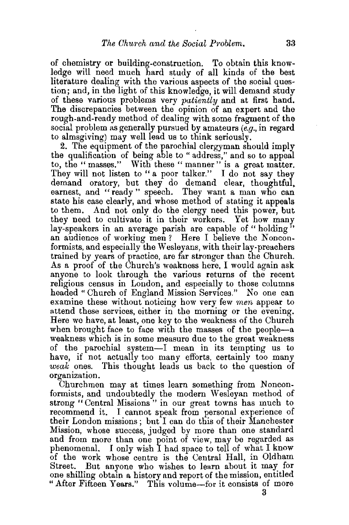of chemistry or building-construction. To obtain this knowledge will need much hard study of all kinds of the best literature dealing with the various aspects of the social question; and, in the light of this knowledge, it will demand study of these various problems very *patiently* and at first hand. The discrepancies between the opinion of an expert and the rough-and-ready method of dealing with some fragment of the social problem as generally pursued by amateurs  $(e.g., in regard)$ to almsgiving) may well lead us to think seriously.

2. The equipment of the parochial clergyman should imply the qualification of being able to " address,'' and so to appeal to, the "masses." With these "manner" is a great matter. They will not listen to " a poor talker." I do not say they demand oratory, but they do demand clear, thoughtful, earnest, and "ready" speech. They want a man who can state his case clearly, and whose method of stating it appeals to them. And not only do the clergy need this power, but they need to cultivate it in their workers. Yet how many lay-speakers in an average parish are capable of "holding" an audience of working men? Here I believe the Nonconformists, and especially the Wesleyans, with their lay-preachers trained by years of practice, are far stronger than the Church. As a proof of the Church's weakness here, I would again ask anyone to look through the various returns of the recent religious census in London, and especially to those columns headed" Church of England Mission Services." No one can examine these without noticing how very few *men* appear to attend these services, either in the morning or the evening. Here we have, at least, one key to the weakness of the Church when brought face to face with the masses of the people-a weakness which is in some measure due to the great weakness of the parochial system-I mean in its tempting us to have, if not actually too many efforts, certainly too many *weak* ones. This thought leads us back to the question of organization.

Churchmen may at times learn something from Nonconformists, and undoubtedly the modern Wesleyan method of strong "Central Missions" in our great towns has much to recommend it. I cannot speak from personal experience of their London missions; but I can do this of their Manchester Mission, whose success, judged by more than one standard and from more than one point of view, may be regarded as phenomenal. I only wish I had space to tell of what I know of the work whose centre is the Central Hall, in Oldham Street. But anyone who wishes to learn about it may for one shilling obtain a history and report of the mission, entitled " After Fifteen Years." This volume-for it consists of more

3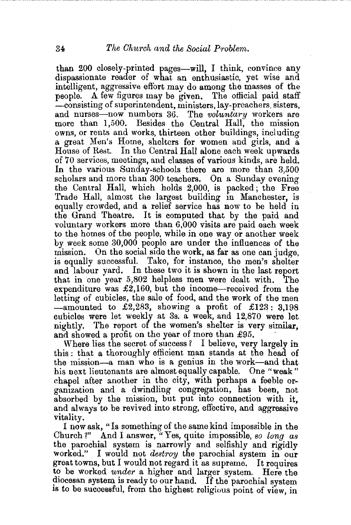than 200 closely-printed pages-will, I think, convince any dispassionate reader of what an enthusiastic, yet wise and intelligent, aggressive effort may do among the masses of the people. A few figures may be given. The official paid staff -consisting of superintendent, ministers, lay-preachers, sisters, and nurses-now numbers 36. The *voluntary* workers are more than 1,500. Besides the Central Hall, the mission owns, or rents and works, thirteen other buildings, including a great Men's Home, shelters for women and girls, and a House of Rest. In the Central Hall alone each week upwards of 70 services, meetings, and classes of various kinds, are held. In the various Sunday-schools there are more than 3,500 scholars and more than 300 teachers. On a Sunday evening the Central Hall, which holds 2,000, is packed; the Free Trade Hall, almost the largest building in Manchester, is equally crowded, and a relief service has now to be held in the Grand Theatre. It is computed that by the paid and voluntary workers more than 6,000 visits are paid each week to the homes of the people, while in one way or another week by week some 30,000 people are under the influences of the mission. On the social side the work, as far as one can judge, is equally successfuL Take, for instance, the men's shelter and labour yard. In these two it is shown in the last report that in one year 5,802 helpless men were dealt with. The expenditure was  $\pounds2,160$ , but the income-received from the letting of cubicles, the sale of food, and the work of the men  $-$ amounted to £2,283, showing a profit of £123: 3,198 cubicles were let weekly at 3s. a week, and 12,870 were let nightly. The report of the women's shelter is very similar, and showed a profit on the year of more than £95.<br>Where lies the secret of success? I believe, very largely in

this : that a thoroughly efficient man stands at the head of the mission-a man who is a genius in the work-and that his next lieutenants are almost equally capable. One "weak" chapel after another in the city, with perhaps a feeble orgamzation and a dwindling congregation, has been, not absorbed by the mission, but put into connection with it, and always to be revived into strong, effective, and aggressive vitality.

I now ask, "Is something of the same kind impossible in the Church *1"* And I answer, "Yes, quite impossible, *so long as*  the parochial system is narrowly and selfishly and rigidly worked." I would not *destrou* the parochial system in our I would not *destroy* the parochial system in our great towns, but I would not regard it as supreme. It requires to be worked *under* a higher and larger system. Here the diocesan system is ready to our hand. If the parochial system 1s to be successful, from the highest religious point of view, in